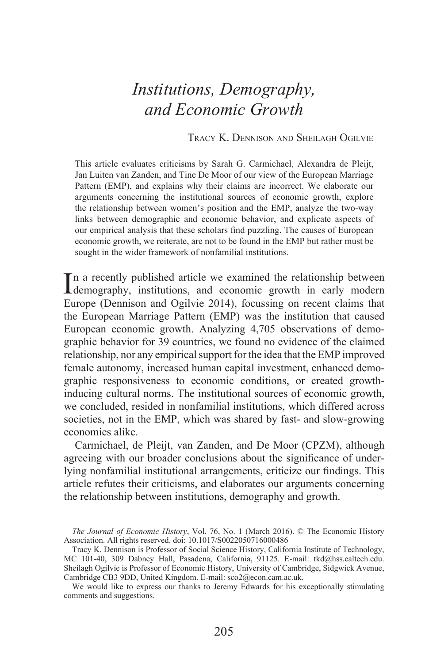# *Institutions, Demography, and Economic Growth*

TRACY K. DENNISON AND SHEILAGH OGILVIE

This article evaluates criticisms by Sarah G. Carmichael, Alexandra de Pleijt, Jan Luiten van Zanden, and Tine De Moor of our view of the European Marriage Pattern (EMP), and explains why their claims are incorrect. We elaborate our arguments concerning the institutional sources of economic growth, explore the relationship between women's position and the EMP, analyze the two-way links between demographic and economic behavior, and explicate aspects of our empirical analysis that these scholars find puzzling. The causes of European economic growth, we reiterate, are not to be found in the EMP but rather must be sought in the wider framework of nonfamilial institutions.

In a recently published article we examined the relationship between<br>demography, institutions, and economic growth in early modern demography, institutions, and economic growth in early modern Europe (Dennison and Ogilvie 2014), focussing on recent claims that the European Marriage Pattern (EMP) was the institution that caused European economic growth. Analyzing 4,705 observations of demographic behavior for 39 countries, we found no evidence of the claimed relationship, nor any empirical support for the idea that the EMP improved female autonomy, increased human capital investment, enhanced demographic responsiveness to economic conditions, or created growthinducing cultural norms. The institutional sources of economic growth, we concluded, resided in nonfamilial institutions, which differed across societies, not in the EMP, which was shared by fast- and slow-growing economies alike.

Carmichael, de Pleijt, van Zanden, and De Moor (CPZM), although agreeing with our broader conclusions about the significance of underlying nonfamilial institutional arrangements, criticize our findings. This article refutes their criticisms, and elaborates our arguments concerning the relationship between institutions, demography and growth.

We would like to express our thanks to Jeremy Edwards for his exceptionally stimulating comments and suggestions.

*The Journal of Economic History*, Vol. 76, No. 1 (March 2016). © The Economic History Association. All rights reserved. doi: 10.1017/S0022050716000486

Tracy K. Dennison is Professor of Social Science History, California Institute of Technology, MC 101-40, 309 Dabney Hall, Pasadena, California, 91125. E-mail: tkd@hss.caltech.edu. Sheilagh Ogilvie is Professor of Economic History, University of Cambridge, Sidgwick Avenue, Cambridge CB3 9DD, United Kingdom. E-mail: sco2@econ.cam.ac.uk.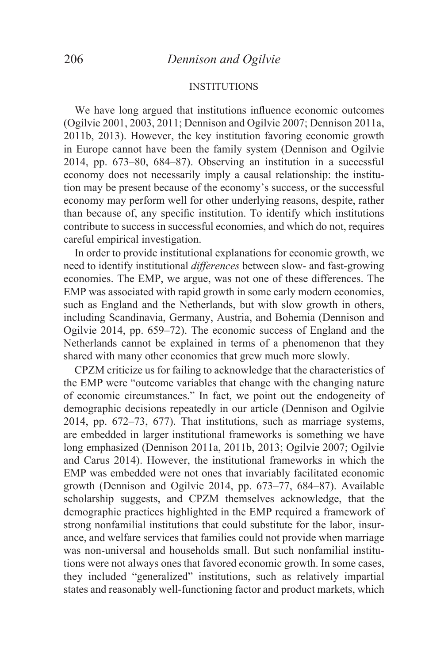#### INSTITUTIONS

We have long argued that institutions influence economic outcomes (Ogilvie 2001, 2003, 2011; Dennison and Ogilvie 2007; Dennison 2011a, 2011b, 2013). However, the key institution favoring economic growth in Europe cannot have been the family system (Dennison and Ogilvie 2014, pp. 673–80, 684–87). Observing an institution in a successful economy does not necessarily imply a causal relationship: the institution may be present because of the economy's success, or the successful economy may perform well for other underlying reasons, despite, rather than because of, any specific institution. To identify which institutions contribute to success in successful economies, and which do not, requires careful empirical investigation.

In order to provide institutional explanations for economic growth, we need to identify institutional *differences* between slow- and fast-growing economies. The EMP, we argue, was not one of these differences. The EMP was associated with rapid growth in some early modern economies, such as England and the Netherlands, but with slow growth in others, including Scandinavia, Germany, Austria, and Bohemia (Dennison and Ogilvie 2014, pp. 659–72). The economic success of England and the Netherlands cannot be explained in terms of a phenomenon that they shared with many other economies that grew much more slowly.

CPZM criticize us for failing to acknowledge that the characteristics of the EMP were "outcome variables that change with the changing nature of economic circumstances." In fact, we point out the endogeneity of demographic decisions repeatedly in our article (Dennison and Ogilvie 2014, pp. 672–73, 677). That institutions, such as marriage systems, are embedded in larger institutional frameworks is something we have long emphasized (Dennison 2011a, 2011b, 2013; Ogilvie 2007; Ogilvie and Carus 2014). However, the institutional frameworks in which the EMP was embedded were not ones that invariably facilitated economic growth (Dennison and Ogilvie 2014, pp. 673–77, 684–87). Available scholarship suggests, and CPZM themselves acknowledge, that the demographic practices highlighted in the EMP required a framework of strong nonfamilial institutions that could substitute for the labor, insurance, and welfare services that families could not provide when marriage was non-universal and households small. But such nonfamilial institutions were not always ones that favored economic growth. In some cases, they included "generalized" institutions, such as relatively impartial states and reasonably well-functioning factor and product markets, which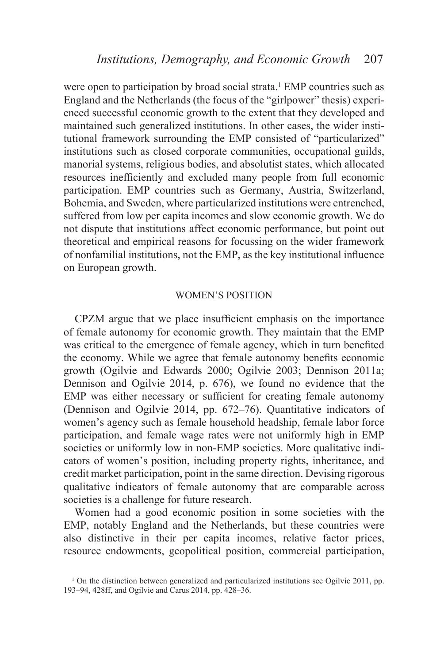were open to participation by broad social strata.<sup>1</sup> EMP countries such as England and the Netherlands (the focus of the "girlpower" thesis) experienced successful economic growth to the extent that they developed and maintained such generalized institutions. In other cases, the wider institutional framework surrounding the EMP consisted of "particularized" institutions such as closed corporate communities, occupational guilds, manorial systems, religious bodies, and absolutist states, which allocated resources inefficiently and excluded many people from full economic participation. EMP countries such as Germany, Austria, Switzerland, Bohemia, and Sweden, where particularized institutions were entrenched, suffered from low per capita incomes and slow economic growth. We do not dispute that institutions affect economic performance, but point out theoretical and empirical reasons for focussing on the wider framework of nonfamilial institutions, not the EMP, as the key institutional influence on European growth.

## WOMEN'S POSITION

CPZM argue that we place insufficient emphasis on the importance of female autonomy for economic growth. They maintain that the EMP was critical to the emergence of female agency, which in turn benefited the economy. While we agree that female autonomy benefits economic growth (Ogilvie and Edwards 2000; Ogilvie 2003; Dennison 2011a; Dennison and Ogilvie 2014, p. 676), we found no evidence that the EMP was either necessary or sufficient for creating female autonomy (Dennison and Ogilvie 2014, pp. 672–76). Quantitative indicators of women's agency such as female household headship, female labor force participation, and female wage rates were not uniformly high in EMP societies or uniformly low in non-EMP societies. More qualitative indicators of women's position, including property rights, inheritance, and credit market participation, point in the same direction. Devising rigorous qualitative indicators of female autonomy that are comparable across societies is a challenge for future research.

Women had a good economic position in some societies with the EMP, notably England and the Netherlands, but these countries were also distinctive in their per capita incomes, relative factor prices, resource endowments, geopolitical position, commercial participation,

<sup>&</sup>lt;sup>1</sup> On the distinction between generalized and particularized institutions see Ogilvie 2011, pp. 193–94, 428ff, and Ogilvie and Carus 2014, pp. 428–36.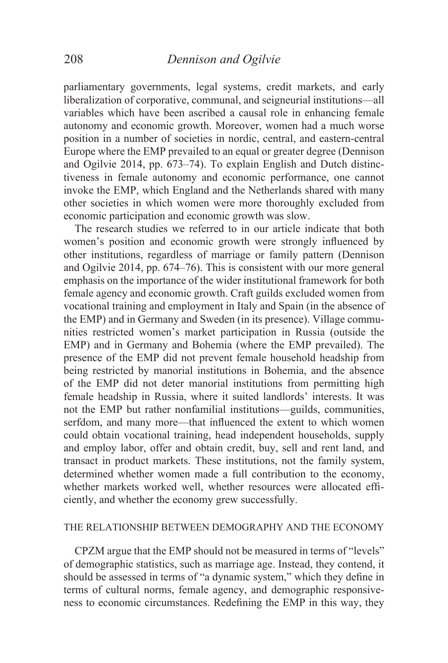parliamentary governments, legal systems, credit markets, and early liberalization of corporative, communal, and seigneurial institutions—all variables which have been ascribed a causal role in enhancing female autonomy and economic growth. Moreover, women had a much worse position in a number of societies in nordic, central, and eastern-central Europe where the EMP prevailed to an equal or greater degree (Dennison and Ogilvie 2014, pp. 673–74). To explain English and Dutch distinctiveness in female autonomy and economic performance, one cannot invoke the EMP, which England and the Netherlands shared with many other societies in which women were more thoroughly excluded from economic participation and economic growth was slow.

The research studies we referred to in our article indicate that both women's position and economic growth were strongly influenced by other institutions, regardless of marriage or family pattern (Dennison and Ogilvie 2014, pp. 674–76). This is consistent with our more general emphasis on the importance of the wider institutional framework for both female agency and economic growth. Craft guilds excluded women from vocational training and employment in Italy and Spain (in the absence of the EMP) and in Germany and Sweden (in its presence). Village communities restricted women's market participation in Russia (outside the EMP) and in Germany and Bohemia (where the EMP prevailed). The presence of the EMP did not prevent female household headship from being restricted by manorial institutions in Bohemia, and the absence of the EMP did not deter manorial institutions from permitting high female headship in Russia, where it suited landlords' interests. It was not the EMP but rather nonfamilial institutions—guilds, communities, serfdom, and many more—that influenced the extent to which women could obtain vocational training, head independent households, supply and employ labor, offer and obtain credit, buy, sell and rent land, and transact in product markets. These institutions, not the family system, determined whether women made a full contribution to the economy, whether markets worked well, whether resources were allocated efficiently, and whether the economy grew successfully.

# THE RELATIONSHIP BETWEEN DEMOGRAPHY AND THE ECONOMY

CPZM argue that the EMP should not be measured in terms of "levels" of demographic statistics, such as marriage age. Instead, they contend, it should be assessed in terms of "a dynamic system," which they define in terms of cultural norms, female agency, and demographic responsiveness to economic circumstances. Redefining the EMP in this way, they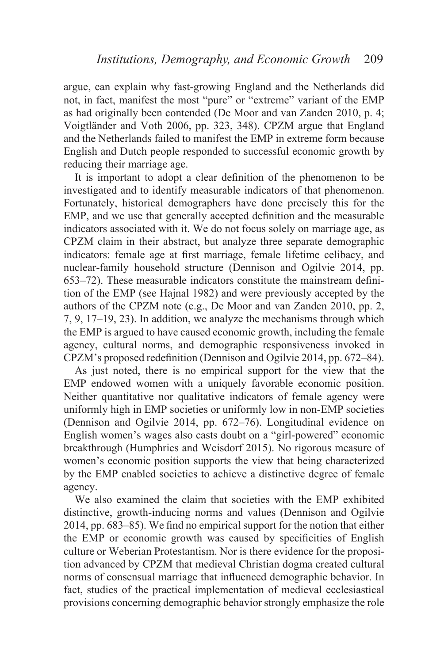argue, can explain why fast-growing England and the Netherlands did not, in fact, manifest the most "pure" or "extreme" variant of the EMP as had originally been contended (De Moor and van Zanden 2010, p. 4; Voigtländer and Voth 2006, pp. 323, 348). CPZM argue that England and the Netherlands failed to manifest the EMP in extreme form because English and Dutch people responded to successful economic growth by reducing their marriage age.

It is important to adopt a clear definition of the phenomenon to be investigated and to identify measurable indicators of that phenomenon. Fortunately, historical demographers have done precisely this for the EMP, and we use that generally accepted definition and the measurable indicators associated with it. We do not focus solely on marriage age, as CPZM claim in their abstract, but analyze three separate demographic indicators: female age at first marriage, female lifetime celibacy, and nuclear-family household structure (Dennison and Ogilvie 2014, pp.  $653-72$ ). These measurable indicators constitute the mainstream definition of the EMP (see Hajnal 1982) and were previously accepted by the authors of the CPZM note (e.g., De Moor and van Zanden 2010, pp. 2, 7, 9, 17–19, 23). In addition, we analyze the mechanisms through which the EMP is argued to have caused economic growth, including the female agency, cultural norms, and demographic responsiveness invoked in CPZM's proposed redefinition (Dennison and Ogilvie 2014, pp. 672–84).

As just noted, there is no empirical support for the view that the EMP endowed women with a uniquely favorable economic position. Neither quantitative nor qualitative indicators of female agency were uniformly high in EMP societies or uniformly low in non-EMP societies (Dennison and Ogilvie 2014, pp. 672–76). Longitudinal evidence on English women's wages also casts doubt on a "girl-powered" economic breakthrough (Humphries and Weisdorf 2015). No rigorous measure of women's economic position supports the view that being characterized by the EMP enabled societies to achieve a distinctive degree of female agency.

We also examined the claim that societies with the EMP exhibited distinctive, growth-inducing norms and values (Dennison and Ogilvie  $2014$ , pp. 683–85). We find no empirical support for the notion that either the EMP or economic growth was caused by specificities of English culture or Weberian Protestantism. Nor is there evidence for the proposition advanced by CPZM that medieval Christian dogma created cultural norms of consensual marriage that influenced demographic behavior. In fact, studies of the practical implementation of medieval ecclesiastical provisions concerning demographic behavior strongly emphasize the role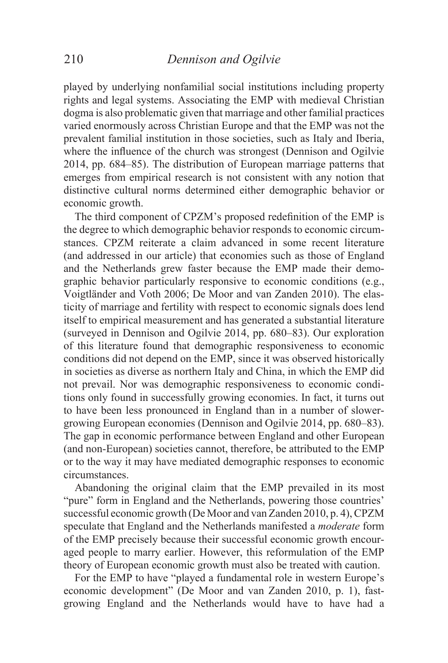played by underlying nonfamilial social institutions including property rights and legal systems. Associating the EMP with medieval Christian dogma is also problematic given that marriage and other familial practices varied enormously across Christian Europe and that the EMP was not the prevalent familial institution in those societies, such as Italy and Iberia, where the influence of the church was strongest (Dennison and Ogilvie 2014, pp. 684–85). The distribution of European marriage patterns that emerges from empirical research is not consistent with any notion that distinctive cultural norms determined either demographic behavior or economic growth.

The third component of CPZM's proposed redefinition of the EMP is the degree to which demographic behavior responds to economic circumstances. CPZM reiterate a claim advanced in some recent literature (and addressed in our article) that economies such as those of England and the Netherlands grew faster because the EMP made their demographic behavior particularly responsive to economic conditions (e.g., Voigtländer and Voth 2006; De Moor and van Zanden 2010). The elasticity of marriage and fertility with respect to economic signals does lend itself to empirical measurement and has generated a substantial literature (surveyed in Dennison and Ogilvie 2014, pp. 680–83). Our exploration of this literature found that demographic responsiveness to economic conditions did not depend on the EMP, since it was observed historically in societies as diverse as northern Italy and China, in which the EMP did not prevail. Nor was demographic responsiveness to economic conditions only found in successfully growing economies. In fact, it turns out to have been less pronounced in England than in a number of slowergrowing European economies (Dennison and Ogilvie 2014, pp. 680–83). The gap in economic performance between England and other European (and non-European) societies cannot, therefore, be attributed to the EMP or to the way it may have mediated demographic responses to economic circumstances.

Abandoning the original claim that the EMP prevailed in its most "pure" form in England and the Netherlands, powering those countries' successful economic growth (De Moor and van Zanden 2010, p. 4), CPZM speculate that England and the Netherlands manifested a *moderate* form of the EMP precisely because their successful economic growth encouraged people to marry earlier. However, this reformulation of the EMP theory of European economic growth must also be treated with caution.

For the EMP to have "played a fundamental role in western Europe's economic development" (De Moor and van Zanden 2010, p. 1), fastgrowing England and the Netherlands would have to have had a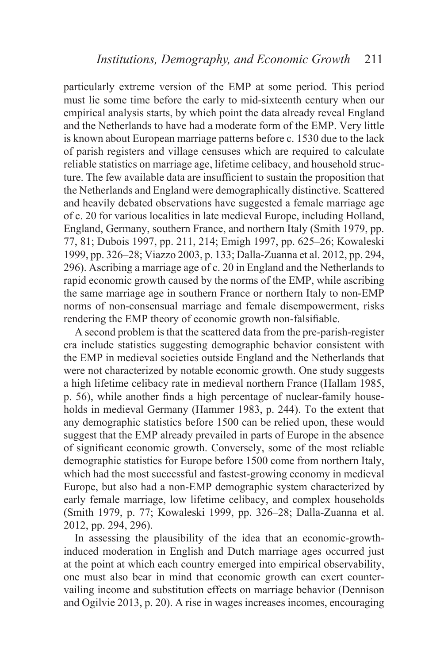particularly extreme version of the EMP at some period. This period must lie some time before the early to mid-sixteenth century when our empirical analysis starts, by which point the data already reveal England and the Netherlands to have had a moderate form of the EMP. Very little is known about European marriage patterns before c. 1530 due to the lack of parish registers and village censuses which are required to calculate reliable statistics on marriage age, lifetime celibacy, and household structure. The few available data are insufficient to sustain the proposition that the Netherlands and England were demographically distinctive. Scattered and heavily debated observations have suggested a female marriage age of c. 20 for various localities in late medieval Europe, including Holland, England, Germany, southern France, and northern Italy (Smith 1979, pp. 77, 81; Dubois 1997, pp. 211, 214; Emigh 1997, pp. 625–26; Kowaleski 1999, pp. 326–28; Viazzo 2003, p. 133; Dalla-Zuanna et al. 2012, pp. 294, 296). Ascribing a marriage age of c. 20 in England and the Netherlands to rapid economic growth caused by the norms of the EMP, while ascribing the same marriage age in southern France or northern Italy to non-EMP norms of non-consensual marriage and female disempowerment, risks rendering the EMP theory of economic growth non-falsifiable.

A second problem is that the scattered data from the pre-parish-register era include statistics suggesting demographic behavior consistent with the EMP in medieval societies outside England and the Netherlands that were not characterized by notable economic growth. One study suggests a high lifetime celibacy rate in medieval northern France (Hallam 1985, p. 56), while another finds a high percentage of nuclear-family households in medieval Germany (Hammer 1983, p. 244). To the extent that any demographic statistics before 1500 can be relied upon, these would suggest that the EMP already prevailed in parts of Europe in the absence of significant economic growth. Conversely, some of the most reliable demographic statistics for Europe before 1500 come from northern Italy, which had the most successful and fastest-growing economy in medieval Europe, but also had a non-EMP demographic system characterized by early female marriage, low lifetime celibacy, and complex households (Smith 1979, p. 77; Kowaleski 1999, pp. 326–28; Dalla-Zuanna et al. 2012, pp. 294, 296).

In assessing the plausibility of the idea that an economic-growthinduced moderation in English and Dutch marriage ages occurred just at the point at which each country emerged into empirical observability, one must also bear in mind that economic growth can exert countervailing income and substitution effects on marriage behavior (Dennison and Ogilvie 2013, p. 20). A rise in wages increases incomes, encouraging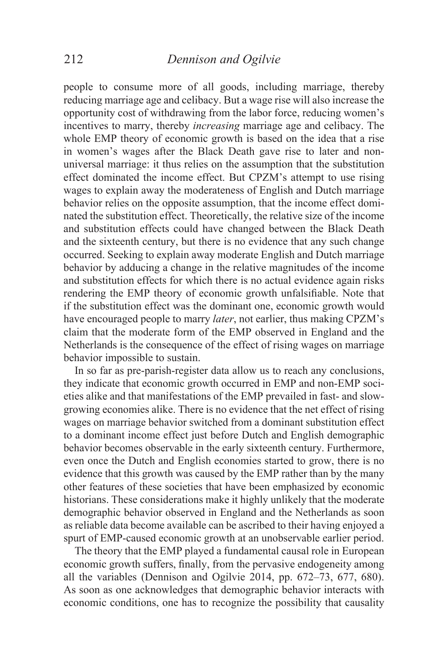people to consume more of all goods, including marriage, thereby reducing marriage age and celibacy. But a wage rise will also increase the opportunity cost of withdrawing from the labor force, reducing women's incentives to marry, thereby *increasing* marriage age and celibacy. The whole EMP theory of economic growth is based on the idea that a rise in women's wages after the Black Death gave rise to later and nonuniversal marriage: it thus relies on the assumption that the substitution effect dominated the income effect. But CPZM's attempt to use rising wages to explain away the moderateness of English and Dutch marriage behavior relies on the opposite assumption, that the income effect dominated the substitution effect. Theoretically, the relative size of the income and substitution effects could have changed between the Black Death and the sixteenth century, but there is no evidence that any such change occurred. Seeking to explain away moderate English and Dutch marriage behavior by adducing a change in the relative magnitudes of the income and substitution effects for which there is no actual evidence again risks rendering the EMP theory of economic growth unfalsifiable. Note that if the substitution effect was the dominant one, economic growth would have encouraged people to marry *later*, not earlier, thus making CPZM's claim that the moderate form of the EMP observed in England and the Netherlands is the consequence of the effect of rising wages on marriage behavior impossible to sustain.

In so far as pre-parish-register data allow us to reach any conclusions, they indicate that economic growth occurred in EMP and non-EMP societies alike and that manifestations of the EMP prevailed in fast- and slowgrowing economies alike. There is no evidence that the net effect of rising wages on marriage behavior switched from a dominant substitution effect to a dominant income effect just before Dutch and English demographic behavior becomes observable in the early sixteenth century. Furthermore, even once the Dutch and English economies started to grow, there is no evidence that this growth was caused by the EMP rather than by the many other features of these societies that have been emphasized by economic historians. These considerations make it highly unlikely that the moderate demographic behavior observed in England and the Netherlands as soon as reliable data become available can be ascribed to their having enjoyed a spurt of EMP-caused economic growth at an unobservable earlier period.

The theory that the EMP played a fundamental causal role in European economic growth suffers, finally, from the pervasive endogeneity among all the variables (Dennison and Ogilvie 2014, pp. 672–73, 677, 680). As soon as one acknowledges that demographic behavior interacts with economic conditions, one has to recognize the possibility that causality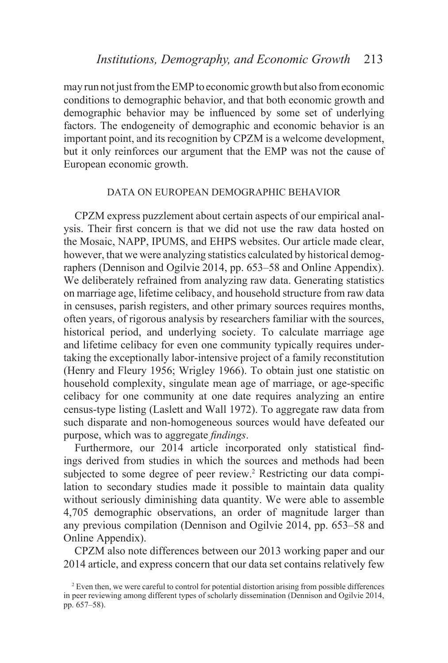may run not just from the EMP to economic growth but also from economic conditions to demographic behavior, and that both economic growth and demographic behavior may be influenced by some set of underlying factors. The endogeneity of demographic and economic behavior is an important point, and its recognition by CPZM is a welcome development, but it only reinforces our argument that the EMP was not the cause of European economic growth.

## DATA ON EUROPEAN DEMOGRAPHIC BEHAVIOR

CPZM express puzzlement about certain aspects of our empirical anal-  $V$ <sub>VSIS</sub>. Their first concern is that we did not use the raw data hosted on the Mosaic, NAPP, IPUMS, and EHPS websites. Our article made clear, however, that we were analyzing statistics calculated by historical demographers (Dennison and Ogilvie 2014, pp. 653–58 and Online Appendix). We deliberately refrained from analyzing raw data. Generating statistics on marriage age, lifetime celibacy, and household structure from raw data in censuses, parish registers, and other primary sources requires months, often years, of rigorous analysis by researchers familiar with the sources, historical period, and underlying society. To calculate marriage age and lifetime celibacy for even one community typically requires undertaking the exceptionally labor-intensive project of a family reconstitution (Henry and Fleury 1956; Wrigley 1966). To obtain just one statistic on household complexity, singulate mean age of marriage, or age-specific celibacy for one community at one date requires analyzing an entire census-type listing (Laslett and Wall 1972). To aggregate raw data from such disparate and non-homogeneous sources would have defeated our purpose, which was to aggregate *findings*.

Furthermore, our 2014 article incorporated only statistical findings derived from studies in which the sources and methods had been subjected to some degree of peer review.<sup>2</sup> Restricting our data compilation to secondary studies made it possible to maintain data quality without seriously diminishing data quantity. We were able to assemble 4,705 demographic observations, an order of magnitude larger than any previous compilation (Dennison and Ogilvie 2014, pp. 653–58 and Online Appendix).

CPZM also note differences between our 2013 working paper and our 2014 article, and express concern that our data set contains relatively few

<sup>&</sup>lt;sup>2</sup> Even then, we were careful to control for potential distortion arising from possible differences in peer reviewing among different types of scholarly dissemination (Dennison and Ogilvie 2014, pp. 657–58).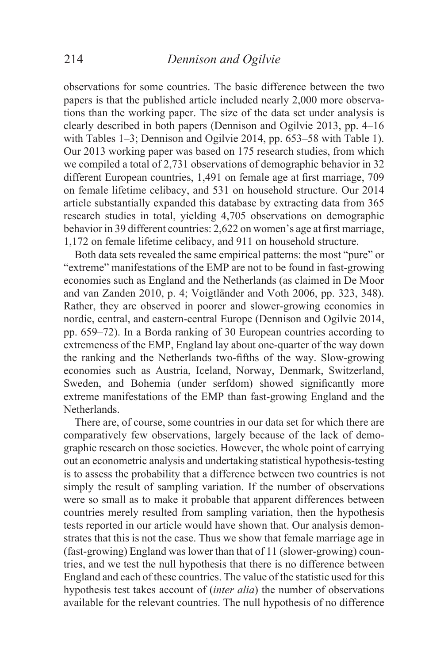observations for some countries. The basic difference between the two papers is that the published article included nearly 2,000 more observations than the working paper. The size of the data set under analysis is clearly described in both papers (Dennison and Ogilvie 2013, pp. 4–16 with Tables 1–3; Dennison and Ogilvie 2014, pp. 653–58 with Table 1). Our 2013 working paper was based on 175 research studies, from which we compiled a total of 2,731 observations of demographic behavior in 32 different European countries, 1,491 on female age at first marriage, 709 on female lifetime celibacy, and 531 on household structure. Our 2014 article substantially expanded this database by extracting data from 365 research studies in total, yielding 4,705 observations on demographic behavior in 39 different countries: 2,622 on women's age at first marriage, 1,172 on female lifetime celibacy, and 911 on household structure.

Both data sets revealed the same empirical patterns: the most "pure" or "extreme" manifestations of the EMP are not to be found in fast-growing economies such as England and the Netherlands (as claimed in De Moor and van Zanden 2010, p. 4; Voigtländer and Voth 2006, pp. 323, 348). Rather, they are observed in poorer and slower-growing economies in nordic, central, and eastern-central Europe (Dennison and Ogilvie 2014, pp. 659–72). In a Borda ranking of 30 European countries according to extremeness of the EMP, England lay about one-quarter of the way down the ranking and the Netherlands two-fifths of the way. Slow-growing economies such as Austria, Iceland, Norway, Denmark, Switzerland, Sweden, and Bohemia (under serfdom) showed significantly more extreme manifestations of the EMP than fast-growing England and the **Netherlands** 

There are, of course, some countries in our data set for which there are comparatively few observations, largely because of the lack of demographic research on those societies. However, the whole point of carrying out an econometric analysis and undertaking statistical hypothesis-testing is to assess the probability that a difference between two countries is not simply the result of sampling variation. If the number of observations were so small as to make it probable that apparent differences between countries merely resulted from sampling variation, then the hypothesis tests reported in our article would have shown that. Our analysis demonstrates that this is not the case. Thus we show that female marriage age in (fast-growing) England was lower than that of 11 (slower-growing) countries, and we test the null hypothesis that there is no difference between England and each of these countries. The value of the statistic used for this hypothesis test takes account of (*inter alia*) the number of observations available for the relevant countries. The null hypothesis of no difference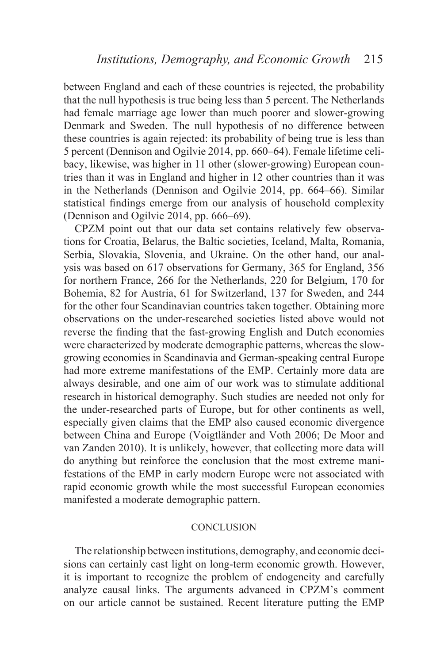between England and each of these countries is rejected, the probability that the null hypothesis is true being less than 5 percent. The Netherlands had female marriage age lower than much poorer and slower-growing Denmark and Sweden. The null hypothesis of no difference between these countries is again rejected: its probability of being true is less than 5 percent (Dennison and Ogilvie 2014, pp. 660–64). Female lifetime celibacy, likewise, was higher in 11 other (slower-growing) European countries than it was in England and higher in 12 other countries than it was in the Netherlands (Dennison and Ogilvie 2014, pp. 664–66). Similar statistical findings emerge from our analysis of household complexity (Dennison and Ogilvie 2014, pp. 666–69).

CPZM point out that our data set contains relatively few observations for Croatia, Belarus, the Baltic societies, Iceland, Malta, Romania, Serbia, Slovakia, Slovenia, and Ukraine. On the other hand, our analysis was based on 617 observations for Germany, 365 for England, 356 for northern France, 266 for the Netherlands, 220 for Belgium, 170 for Bohemia, 82 for Austria, 61 for Switzerland, 137 for Sweden, and 244 for the other four Scandinavian countries taken together. Obtaining more observations on the under-researched societies listed above would not reverse the finding that the fast-growing English and Dutch economies were characterized by moderate demographic patterns, whereas the slowgrowing economies in Scandinavia and German-speaking central Europe had more extreme manifestations of the EMP. Certainly more data are always desirable, and one aim of our work was to stimulate additional research in historical demography. Such studies are needed not only for the under-researched parts of Europe, but for other continents as well, especially given claims that the EMP also caused economic divergence between China and Europe (Voigtländer and Voth 2006; De Moor and van Zanden 2010). It is unlikely, however, that collecting more data will do anything but reinforce the conclusion that the most extreme manifestations of the EMP in early modern Europe were not associated with rapid economic growth while the most successful European economies manifested a moderate demographic pattern.

# **CONCLUSION**

The relationship between institutions, demography, and economic decisions can certainly cast light on long-term economic growth. However, it is important to recognize the problem of endogeneity and carefully analyze causal links. The arguments advanced in CPZM's comment on our article cannot be sustained. Recent literature putting the EMP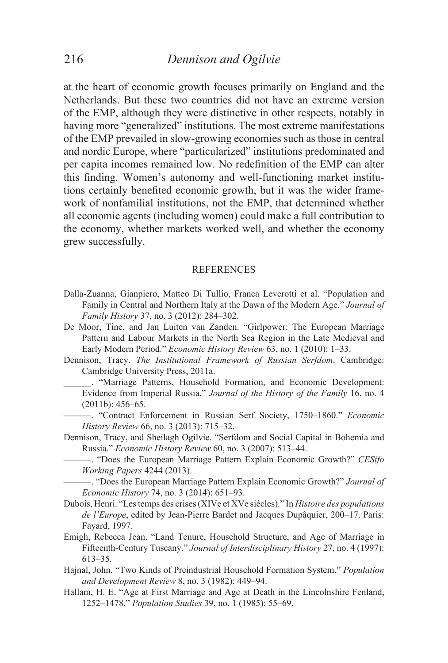at the heart of economic growth focuses primarily on England and the Netherlands. But these two countries did not have an extreme version of the EMP, although they were distinctive in other respects, notably in having more "generalized" institutions. The most extreme manifestations of the EMP prevailed in slow-growing economies such as those in central and nordic Europe, where "particularized" institutions predominated and per capita incomes remained low. No redefinition of the EMP can alter this finding. Women's autonomy and well-functioning market institutions certainly benefited economic growth, but it was the wider framework of nonfamilial institutions, not the EMP, that determined whether all economic agents (including women) could make a full contribution to the economy, whether markets worked well, and whether the economy grew successfully.

#### REFERENCES

- Dalla-Zuanna, Gianpiero, Matteo Di Tullio, Franca Leverotti et al. "Population and Family in Central and Northern Italy at the Dawn of the Modern Age." *Journal of Family History* 37, no. 3 (2012): 284–302.
- De Moor, Tine, and Jan Luiten van Zanden. "Girlpower: The European Marriage Pattern and Labour Markets in the North Sea Region in the Late Medieval and Early Modern Period." *Economic History Review* 63, no. 1 (2010): 1–33.
- Dennison, Tracy. *The Institutional Framework of Russian Serfdom*. Cambridge: Cambridge University Press, 2011a.
	- \_\_\_\_\_\_. "Marriage Patterns, Household Formation, and Economic Development: Evidence from Imperial Russia." *Journal of the History of the Family* 16, no. 4 (2011b): 456–65.
	- ———. "Contract Enforcement in Russian Serf Society, 1750–1860." *Economic History Review* 66, no. 3 (2013): 715–32.
- Dennison, Tracy, and Sheilagh Ogilvie. "Serfdom and Social Capital in Bohemia and Russia." *Economic History Review* 60, no. 3 (2007): 513–44.
	- ———. "Does the European Marriage Pattern Explain Economic Growth?" *CESifo Working Papers* 4244 (2013).

———. "Does the European Marriage Pattern Explain Economic Growth?" *Journal of Economic History* 74, no. 3 (2014): 651–93.

- Dubois, Henri. "Les temps des crises (XIVe et XVe siècles)." In *Histoire des populations de l'Europe*, edited by Jean-Pierre Bardet and Jacques Dupâquier, 200–17. Paris: Fayard, 1997.
- Emigh, Rebecca Jean. "Land Tenure, Household Structure, and Age of Marriage in Fifteenth-Century Tuscany." *Journal of Interdisciplinary History* 27, no. 4 (1997): 613–35.
- Hajnal, John. "Two Kinds of Preindustrial Household Formation System." *Population and Development Review* 8, no. 3 (1982): 449–94.
- Hallam, H. E. "Age at First Marriage and Age at Death in the Lincolnshire Fenland, 1252–1478." *Population Studies* 39, no. 1 (1985): 55–69.